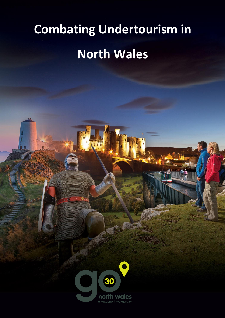## **Combating Undertourism in North Wales**

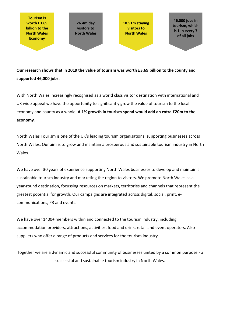**Tourism is worth £3.69 billion to the North Wales Economy** 

**26.4m day visitors to North Wales** 

**10.51m staying visitors to North Wales** 

**46,000 jobs in tourism, which is 1 in every 7 of all jobs** 

**Our research shows that in 2019 the value of tourism was worth £3.69 billion to the county and supported 46,000 jobs.**

With North Wales increasingly recognised as a world class visitor destination with international and UK wide appeal we have the opportunity to significantly grow the value of tourism to the local economy and county as a whole. **A 1% growth in tourism spend would add an extra £20m to the economy.**

North Wales Tourism is one of the UK's leading tourism organisations, supporting businesses across North Wales. Our aim is to grow and maintain a prosperous and sustainable tourism industry in North Wales.

We have over 30 years of experience supporting North Wales businesses to develop and maintain a sustainable tourism industry and marketing the region to visitors. We promote North Wales as a year-round destination, focussing resources on markets, territories and channels that represent the greatest potential for growth. Our campaigns are integrated across digital, social, print, ecommunications, PR and events.

We have over 1400+ members within and connected to the tourism industry, including accommodation providers, attractions, activities, food and drink, retail and event operators. Also suppliers who offer a range of products and services for the tourism industry.

Together we are a dynamic and successful community of businesses united by a common purpose - a successful and sustainable tourism industry in North Wales.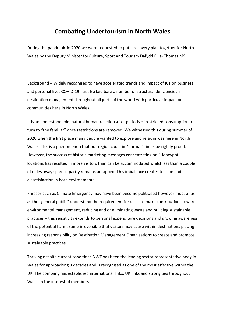## **Combating Undertourism in North Wales**

During the pandemic in 2020 we were requested to put a recovery plan together for North Wales by the Deputy Minister for Culture, Sport and Tourism Dafydd Ellis- Thomas MS.

------------------------------------------------------------------------------------------------------------------------

Background – Widely recognised to have accelerated trends and impact of ICT on business and personal lives COVID-19 has also laid bare a number of structural deficiencies in destination management throughout all parts of the world with particular impact on communities here in North Wales.

It is an understandable, natural human reaction after periods of restricted consumption to turn to "the familiar" once restrictions are removed. We witnessed this during summer of 2020 when the first place many people wanted to explore and relax in was here in North Wales. This is a phenomenon that our region could in "normal" times be rightly proud. However, the success of historic marketing messages concentrating on "Honeypot" locations has resulted in more visitors than can be accommodated whilst less than a couple of miles away spare capacity remains untapped. This imbalance creates tension and dissatisfaction in both environments.

Phrases such as Climate Emergency may have been become politicised however most of us as the "general public" understand the requirement for us all to make contributions towards environmental management, reducing and or eliminating waste and building sustainable practices – this sensitivity extends to personal expenditure decisions and growing awareness of the potential harm, some irreversible that visitors may cause within destinations placing increasing responsibility on Destination Management Organisations to create and promote sustainable practices.

Thriving despite current conditions NWT has been the leading sector representative body in Wales for approaching 3 decades and is recognised as one of the most effective within the UK. The company has established international links, UK links and strong ties throughout Wales in the interest of members.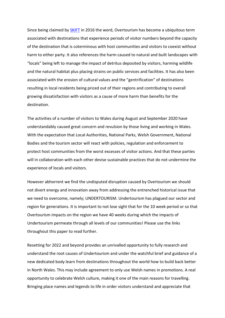Since being claimed by **SKIFT** in 2016 the word, Overtourism has become a ubiquitous term associated with destinations that experience periods of visitor numbers beyond the capacity of the destination that is coterminous with host communities and visitors to coexist without harm to either party. It also references the harm caused to natural and built landscapes with "locals" being left to manage the impact of detritus deposited by visitors, harming wildlife and the natural habitat plus placing strains on public services and facilities. It has also been associated with the erosion of cultural values and the "gentrification" of destinations resulting in local residents being priced out of their regions and contributing to overall growing dissatisfaction with visitors as a cause of more harm than benefits for the destination.

The activities of a number of visitors to Wales during August and September 2020 have understandably caused great concern and revulsion by those living and working in Wales. With the expectation that Local Authorities, National Parks, Welsh Government, National Bodies and the tourism sector will react with policies, regulation and enforcement to protect host communities from the worst excesses of visitor actions. And that these parties will in collaboration with each other devise sustainable practices that do not undermine the experience of locals and visitors.

However abhorrent we find the undisputed disruption caused by Overtourism we should not divert energy and innovation away from addressing the entrenched historical issue that we need to overcome, namely; UNDERTOURISM. Undertourism has plagued our sector and region for generations. It is important to not lose sight that for the 10 week period or so that Overtourism impacts on the region we have 40 weeks during which the impacts of Undertourism permeate through all levels of our communities! Please use the links throughout this paper to read further.

Resetting for 2022 and beyond provides an unrivalled opportunity to fully research and understand the root causes of Undertourism and under the watchful brief and guidance of a new dedicated body learn from destinations throughout the world how to build back better in North Wales. This may include agreement to only use Welsh names in promotions. A real opportunity to celebrate Welsh culture, making it one of the main reasons for travelling. Bringing place names and legends to life in order visitors understand and appreciate that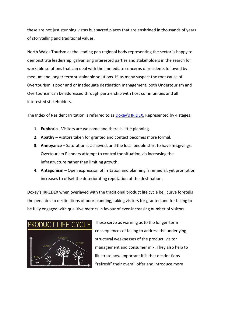these are not just stunning vistas but sacred places that are enshrined in thousands of years of storytelling and traditional values.

North Wales Tourism as the leading pan regional body representing the sector is happy to demonstrate leadership, galvanising interested parties and stakeholders in the search for workable solutions that can deal with the immediate concerns of residents followed by medium and longer term sustainable solutions. If, as many suspect the root cause of Overtourism is poor and or inadequate destination management, both Undertourism and Overtourism can be addressed through partnership with host communities and all interested stakeholders.

The Index of Resident Irritation is referred to as [Doxey's IRIDEX.](https://warrenbisch.medium.com/the-tourism-life-cycle-in-a-small-new-zealand-town-55abf104201f) Represented by 4 stages;

- **1. Euphoria** Visitors are welcome and there is little planning.
- **2. Apathy** Visitors taken for granted and contact becomes more formal.
- **3. Annoyance** Saturation is achieved, and the local people start to have misgivings. Overtourism Planners attempt to control the situation via increasing the infrastructure rather than limiting growth.
- **4. Antagonism** Open expression of irritation and planning is remedial, yet promotion increases to offset the deteriorating reputation of the destination.

Doxey's IRREDEX when overlayed with the traditional product life cycle bell curve foretells the penalties to destinations of poor planning, taking visitors for granted and for failing to be fully engaged with qualitive metrics in favour of ever-increasing number of visitors.



These serve as warning as to the longer-term consequences of failing to address the underlying structural weaknesses of the product, visitor management and consumer mix. They also help to illustrate how important it is that destinations "refresh" their overall offer and introduce more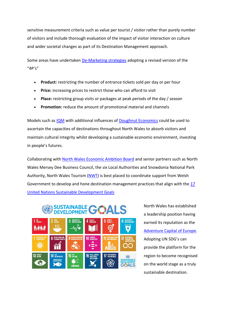sensitive measurement criteria such as value per tourist / visitor rather than purely number of visitors and include thorough evaluation of the impact of visitor interaction on culture and wider societal changes as part of its Destination Management approach.

Some areas have undertaken [De-Marketing strategies](https://responsibletourismpartnership.org/demarketing/) adopting a revised version of the "4P's"

- **Product:** restricting the number of entrance tickets sold per day or per hour
- **Price:** increasing prices to restrict those who can afford to visit
- **Place:** restricting group visits or packages at peak periods of the day / season
- **Promotion:** reduce the amount of promotional material and channels

Models such as [IQM](https://op.europa.eu/en/publication-detail/-/publication/e81a0b3d-0a67-41bb-b008-b445f4da291c) with additional influences of [Doughnut Economics](https://www.kateraworth.com/doughnut/) could be used to ascertain the capacities of destinations throughout North Wales to absorb visitors and maintain cultural integrity whilst developing a sustainable economic environment, investing in people's futures.

Collaborating with [North Wales Economic Ambition Board](https://northwaleseab.co.uk/node/1) and senior partners such as North Wales Mersey Dee Business Council, the six Local Authorities and Snowdonia National Park Authority, North Wales Tourism [\(NWT\)](https://northwalestourism.com/) is best placed to coordinate support from Welsh Government to develop and hone destination management practices that align with the [17](https://sdgs.un.org/goals)  [United Nations Sustainable Development Goals](https://sdgs.un.org/goals) 



North Wales has established a leadership position having earned its reputation as the [Adventure Capital of Europe.](https://northwalestourism.com/directors-blog/north-wales-the-adventure-capital-of-europe/) Adopting UN SDG's can provide the platform for the region to become recognised on the world stage as a truly sustainable destination.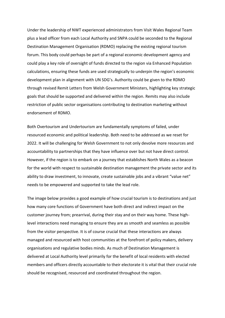Under the leadership of NWT experienced administrators from Visit Wales Regional Team plus a lead officer from each Local Authority and SNPA could be seconded to the Regional Destination Management Organisation (RDMO) replacing the existing regional tourism forum. This body could perhaps be part of a regional economic development agency and could play a key role of oversight of funds directed to the region via Enhanced Population calculations, ensuring these funds are used strategically to underpin the region's economic development plan in alignment with UN SDG's. Authority could be given to the RDMO through revised Remit Letters from Welsh Government Ministers, highlighting key strategic goals that should be supported and delivered within the region. Remits may also include restriction of public sector organisations contributing to destination marketing without endorsement of RDMO.

Both Overtourism and Undertourism are fundamentally symptoms of failed, under resourced economic and political leadership. Both need to be addressed as we reset for 2022. It will be challenging for Welsh Government to not only devolve more resources and accountability to partnerships that they have influence over but not have direct control. However, if the region is to embark on a journey that establishes North Wales as a beacon for the world with respect to sustainable destination management the private sector and its ability to draw investment, to innovate, create sustainable jobs and a vibrant "value net" needs to be empowered and supported to take the lead role.

The image below provides a good example of how crucial tourism is to destinations and just how many core functions of Government have both direct and indirect impact on the customer journey from; prearrival, during their stay and on their way home. These highlevel interactions need managing to ensure they are as smooth and seamless as possible from the visitor perspective. It is of course crucial that these interactions are always managed and resourced with host communities at the forefront of policy makers, delivery organisations and regulative bodies minds. As much of Destination Management is delivered at Local Authority level primarily for the benefit of local residents with elected members and officers directly accountable to their electorate it is vital that their crucial role should be recognised, resourced and coordinated throughout the region.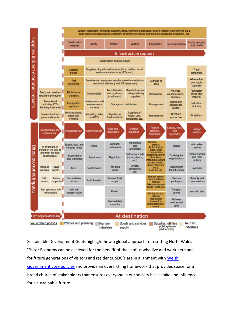

Sustainable Development Goals highlight how a global approach to resetting North Wales Visitor Economy can be achieved for the benefit of those of us who live and work here and for future generations of visitors and residents. SDG's are in alignment with [Welsh](https://gov.wales/well-being-future-generations-wales-act-2015-guidance)  [Government core policies](https://gov.wales/well-being-future-generations-wales-act-2015-guidance) and provide an overarching framework that provides space for a broad church of stakeholders that ensures everyone in our society has a stake and influence for a sustainable future.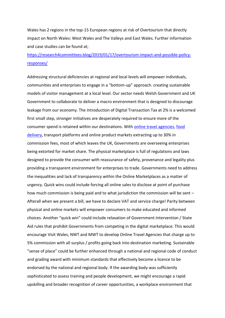Wales has 2 regions in the top-15 European regions at risk of Overtourism that directly impact on North Wales: West Wales and The Valleys and East Wales. Further information and case studies can be found at;

## [https://research4committees.blog/2019/01/17/overtourism-impact-and-possible-policy](https://research4committees.blog/2019/01/17/overtourism-impact-and-possible-policy-responses/)[responses/](https://research4committees.blog/2019/01/17/overtourism-impact-and-possible-policy-responses/)

Addressing structural deficiencies at regional and local levels will empower individuals, communities and enterprises to engage in a "bottom-up" approach. creating sustainable models of visitor management at a local level. Our sector needs Welsh Government and UK Government to collaborate to deliver a macro environment that is designed to discourage leakage from our economy. The introduction of Digital Transaction Tax at 2% is a welcomed first small step, stronger initiatives are desperately required to ensure more of the consumer spend is retained within our destinations. With [online travel agencies,](https://www.hotelrez.net/what-ota-commission-rates-are-costing-your-hotel-and-how-to-reduce-them/) [food](https://www.cnbc.com/2020/05/01/restaurant-owners-in-britain-call-on-deliveroo-to-drop-commission-fees.html)  [delivery,](https://www.cnbc.com/2020/05/01/restaurant-owners-in-britain-call-on-deliveroo-to-drop-commission-fees.html) transport platforms and online product markets extracting up to 30% in commission fees, most of which leaves the UK, Governments are overseeing enterprises being extorted for market share. The physical marketplace is full of regulations and laws designed to provide the consumer with reassurance of safety, provenance and legality plus providing a transparent environment for enterprises to trade. Governments need to address the inequalities and lack of transparency within the Online Marketplaces as a matter of urgency. Quick wins could include forcing all online sales to disclose at point of purchase how much commission is being paid and to what jurisdiction the commission will be sent – Afterall when we present a bill, we have to declare VAT and service charge! Parity between physical and online markets will empower consumers to make educated and informed choices. Another "quick win" could include relaxation of Government Intervention / State Aid rules that prohibit Governments from competing in the digital marketplace. This would encourage Visit Wales, NWT and MWT to develop Online Travel Agencies that charge up to 5% commission with all surplus / profits going back into destination marketing. Sustainable "sense of place" could be further enhanced through a national and regional code of conduct and grading award with minimum standards that effectively become a licence to be endorsed by the national and regional body. If the awarding body was sufficiently sophisticated to assess training and people development, we might encourage a rapid upskilling and broader recognition of career opportunities, a workplace environment that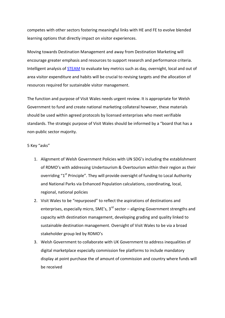competes with other sectors fostering meaningful links with HE and FE to evolve blended learning options that directly impact on visitor experiences.

Moving towards Destination Management and away from Destination Marketing will encourage greater emphasis and resources to support research and performance criteria. Intelligent analysis of [STEAM](https://www.carmarthenshire.gov.wales/home/business/tourism/research-trends-development/#.YGrCqehKjIU) to evaluate key metrics such as day, overnight, local and out of area visitor expenditure and habits will be crucial to revising targets and the allocation of resources required for sustainable visitor management.

The function and purpose of Visit Wales needs urgent review. It is appropriate for Welsh Government to fund and create national marketing collateral however, these materials should be used within agreed protocols by licensed enterprises who meet verifiable standards. The strategic purpose of Visit Wales should be informed by a "board that has a non-public sector majority.

## 5 Key "asks"

- 1. Alignment of Welsh Government Policies with UN SDG's including the establishment of RDMO's with addressing Undertourism & Overtourism within their region as their overriding " $1<sup>st</sup>$  Principle". They will provide oversight of funding to Local Authority and National Parks via Enhanced Population calculations, coordinating, local, regional, national policies
- 2. Visit Wales to be "repurposed" to reflect the aspirations of destinations and enterprises, especially micro, SME's,  $3<sup>rd</sup>$  sector – aligning Government strengths and capacity with destination management, developing grading and quality linked to sustainable destination management. Oversight of Visit Wales to be via a broad stakeholder group led by RDMO's
- 3. Welsh Government to collaborate with UK Government to address inequalities of digital marketplace especially commission fee platforms to include mandatory display at point purchase the of amount of commission and country where funds will be received